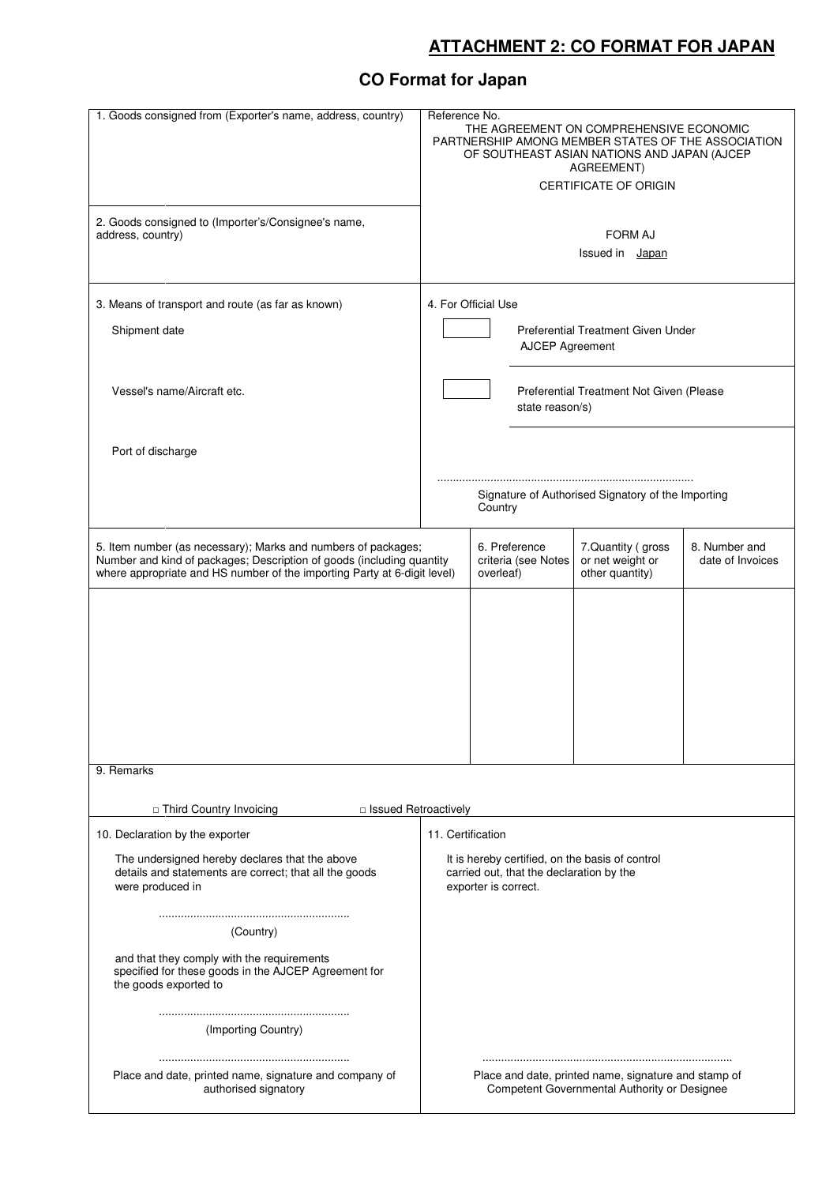## **ATTACHMENT 2: CO FORMAT FOR JAPAN**

## **CO Format for Japan**

| 1. Goods consigned from (Exporter's name, address, country)                                                                                                                                                        | Reference No.<br>THE AGREEMENT ON COMPREHENSIVE ECONOMIC<br>PARTNERSHIP AMONG MEMBER STATES OF THE ASSOCIATION<br>OF SOUTHEAST ASIAN NATIONS AND JAPAN (AJCEP<br>AGREEMENT)<br><b>CERTIFICATE OF ORIGIN</b> |
|--------------------------------------------------------------------------------------------------------------------------------------------------------------------------------------------------------------------|-------------------------------------------------------------------------------------------------------------------------------------------------------------------------------------------------------------|
| 2. Goods consigned to (Importer's/Consignee's name,<br>address, country)                                                                                                                                           | <b>FORM AJ</b><br>Issued in Japan                                                                                                                                                                           |
| 3. Means of transport and route (as far as known)<br>Shipment date                                                                                                                                                 | 4. For Official Use<br>Preferential Treatment Given Under<br>AJCEP Agreement                                                                                                                                |
| Vessel's name/Aircraft etc.                                                                                                                                                                                        | Preferential Treatment Not Given (Please<br>state reason/s)                                                                                                                                                 |
| Port of discharge                                                                                                                                                                                                  | Signature of Authorised Signatory of the Importing<br>Country                                                                                                                                               |
| 5. Item number (as necessary); Marks and numbers of packages;<br>Number and kind of packages; Description of goods (including quantity<br>where appropriate and HS number of the importing Party at 6-digit level) | 6. Preference<br>8. Number and<br>7. Quantity (gross<br>criteria (see Notes<br>or net weight or<br>date of Invoices<br>overleaf)<br>other quantity)                                                         |
|                                                                                                                                                                                                                    |                                                                                                                                                                                                             |
| 9. Remarks                                                                                                                                                                                                         |                                                                                                                                                                                                             |
| <b>D</b> Third Country Invoicing<br>□ Issued Retroactively                                                                                                                                                         |                                                                                                                                                                                                             |
| 10. Declaration by the exporter<br>The undersigned hereby declares that the above<br>details and statements are correct; that all the goods<br>were produced in                                                    | 11. Certification<br>It is hereby certified, on the basis of control<br>carried out, that the declaration by the<br>exporter is correct.                                                                    |
| (Country)<br>and that they comply with the requirements<br>specified for these goods in the AJCEP Agreement for<br>the goods exported to                                                                           |                                                                                                                                                                                                             |
| (Importing Country)                                                                                                                                                                                                |                                                                                                                                                                                                             |
| Place and date, printed name, signature and company of<br>authorised signatory                                                                                                                                     | Place and date, printed name, signature and stamp of<br>Competent Governmental Authority or Designee                                                                                                        |